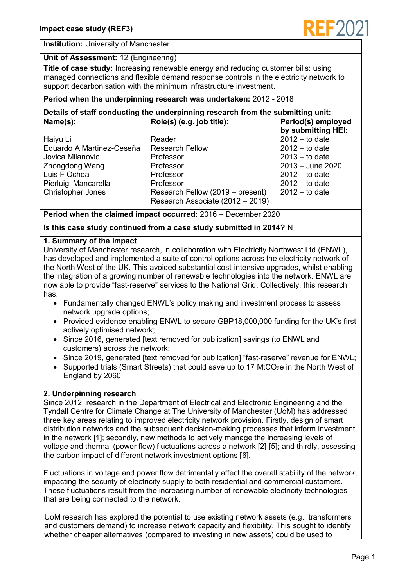

#### **Institution:** University of Manchester

#### **Unit of Assessment:** 12 (Engineering)

**Title of case study:** Increasing renewable energy and reducing customer bills: using managed connections and flexible demand response controls in the electricity network to support decarbonisation with the minimum infrastructure investment.

### **Period when the underpinning research was undertaken:** 2012 - 2018

| Details of staff conducting the underpinning research from the submitting unit: |                                  |                    |
|---------------------------------------------------------------------------------|----------------------------------|--------------------|
| Name(s):                                                                        | Role(s) (e.g. job title):        | Period(s) employed |
|                                                                                 |                                  | by submitting HEI: |
| Haiyu Li                                                                        | Reader                           | $2012 -$ to date   |
| Eduardo A Martinez-Ceseña                                                       | <b>Research Fellow</b>           | $2012 -$ to date   |
| Jovica Milanovic                                                                | Professor                        | $2013 -$ to date   |
| Zhongdong Wang                                                                  | Professor                        | $2013 -$ June 2020 |
| Luis F Ochoa                                                                    | Professor                        | $2012 -$ to date   |
| Pierluigi Mancarella                                                            | Professor                        | $2012 -$ to date   |
| Christopher Jones                                                               | Research Fellow (2019 – present) | $2012 -$ to date   |
|                                                                                 | Research Associate (2012 - 2019) |                    |

**Period when the claimed impact occurred:** 2016 – December 2020

**Is this case study continued from a case study submitted in 2014?** N

#### **1. Summary of the impact**

University of Manchester research, in collaboration with Electricity Northwest Ltd (ENWL), has developed and implemented a suite of control options across the electricity network of the North West of the UK. This avoided substantial cost-intensive upgrades, whilst enabling the integration of a growing number of renewable technologies into the network. ENWL are now able to provide "fast-reserve" services to the National Grid. Collectively, this research has:

- Fundamentally changed ENWL's policy making and investment process to assess network upgrade options;
- Provided evidence enabling ENWL to secure GBP18,000,000 funding for the UK's first actively optimised network;
- Since 2016, generated [text removed for publication] savings (to ENWL and customers) across the network;
- Since 2019, generated [text removed for publication] "fast-reserve" revenue for ENWL;
- Supported trials (Smart Streets) that could save up to 17 MtCO<sub>2</sub>e in the North West of England by 2060.

# **2. Underpinning research**

Since 2012, research in the Department of Electrical and Electronic Engineering and the Tyndall Centre for Climate Change at The University of Manchester (UoM) has addressed three key areas relating to improved electricity network provision. Firstly, design of smart distribution networks and the subsequent decision-making processes that inform investment in the network [\[1\];](#page-1-0) secondly, new methods to actively manage the increasing levels of voltage and thermal (power flow) fluctuations across a network [\[2\]-](#page-2-0)[5]; and thirdly, assessing the carbon impact of different network investment options [6].

Fluctuations in voltage and power flow detrimentally affect the overall stability of the network, impacting the security of electricity supply to both residential and commercial customers. These fluctuations result from the increasing number of renewable electricity technologies that are being connected to the network.

UoM research has explored the potential to use existing network assets (e.g., transformers and customers demand) to increase network capacity and flexibility. This sought to identify whether cheaper alternatives (compared to investing in new assets) could be used to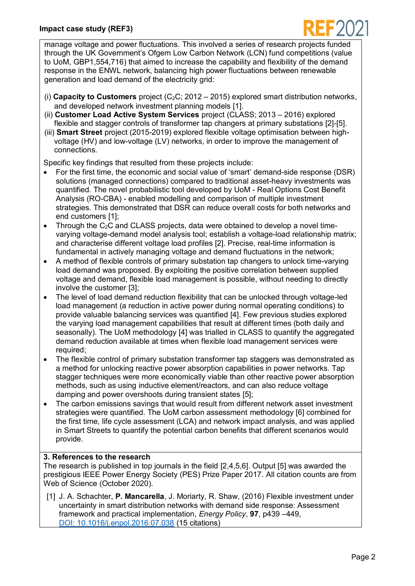### **Impact case study (REF3)**



manage voltage and power fluctuations. This involved a series of research projects funded through the UK Government's Ofgem Low Carbon Network (LCN) fund competitions (value to UoM, GBP1,554,716) that aimed to increase the capability and flexibility of the demand response in the ENWL network, balancing high power fluctuations between renewable generation and load demand of the electricity grid:

- (i) **Capacity to Customers** project  $(C_2C; 2012 2015)$  explored smart distribution networks, and developed network investment planning models [1].
- (ii) **Customer Load Active System Services** project (CLASS; 2013 2016) explored flexible and stagger controls of transformer tap changers at primary substations [\[2\]-](#page-2-0)[5].
- (iii) **Smart Street** project (2015-2019) explored flexible voltage optimisation between highvoltage (HV) and low-voltage (LV) networks, in order to improve the management of connections.

Specific key findings that resulted from these projects include:

- For the first time, the economic and social value of 'smart' demand-side response (DSR) solutions (managed connections) compared to traditional asset-heavy investments was quantified. The novel probabilistic tool developed by UoM - Real Options Cost Benefit Analysis (RO-CBA) - enabled modelling and comparison of multiple investment strategies. This demonstrated that DSR can reduce overall costs for both networks and end customers [\[1\];](#page-1-0)
- Through the  $C_2C$  and CLASS projects, data were obtained to develop a novel timevarying voltage-demand model analysis tool; establish a voltage-load relationship matrix; and characterise different voltage load profiles [\[2\].](#page-2-0) Precise, real-time information is fundamental in actively managing voltage and demand fluctuations in the network;
- A method of flexible controls of primary substation tap changers to unlock time-varying load demand was proposed. By exploiting the positive correlation between supplied voltage and demand, flexible load management is possible, without needing to directly involve the customer [\[3\];](#page-2-1)
- The level of load demand reduction flexibility that can be unlocked through voltage-led load management (a reduction in active power during normal operating conditions) to provide valuable balancing services was quantified [\[4\].](#page-2-2) Few previous studies explored the varying load management capabilities that result at different times (both daily and seasonally). The UoM methodology [4] was trialled in CLASS to quantify the aggregated demand reduction available at times when flexible load management services were required;
- The flexible control of primary substation transformer tap staggers was demonstrated as a method for unlocking reactive power absorption capabilities in power networks. Tap stagger techniques were more economically viable than other reactive power absorption methods, such as using inductive element/reactors, and can also reduce voltage damping and power overshoots during transient states [\[5\];](#page-2-3)
- The carbon emissions savings that would result from different network asset investment strategies were quantified. The UoM carbon assessment methodology [6] combined for the first time, life cycle assessment (LCA) and network impact analysis, and was applied in Smart Streets to quantify the potential carbon benefits that different scenarios would provide.

# **3. References to the research**

The research is published in top journals in the field [2,4,5,6]. Output [5] was awarded the prestigious IEEE Power Energy Society (PES) Prize Paper 2017. All citation counts are from Web of Science (October 2020).

<span id="page-1-0"></span>[1] J. A. Schachter, **P. Mancarella**, J. Moriarty, R. Shaw, (2016) Flexible investment under uncertainty in smart distribution networks with demand side response: Assessment framework and practical implementation, *Energy Policy*, **97**, p439 –449, [DOI: 10.1016/j.enpol.2016.07.038](https://doi.org/10.1016/j.enpol.2016.07.038) (15 citations)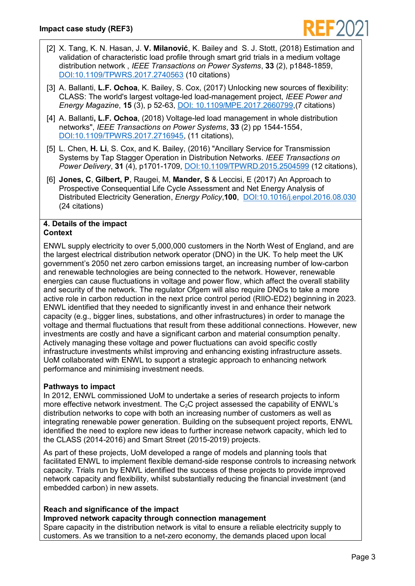

- <span id="page-2-0"></span>[2] X. Tang, K. N. Hasan, J. **V. Milanović**, K. Bailey and S. J. Stott, (2018) Estimation and validation of characteristic load profile through smart grid trials in a medium voltage distribution network , *IEEE Transactions on Power Systems*, **33** (2), p1848-1859, [DOI:10.1109/TPWRS.2017.2740563](https://doi.org/10.1109/TPWRS.2017.2740563) (10 citations)
- <span id="page-2-1"></span>[3] A. Ballanti, **L.F. Ochoa**, K. Bailey, S. Cox, (2017) Unlocking new sources of flexibility: CLASS: The world's largest voltage-led load-management project, *IEEE Power and Energy Magazine*, **15** (3), p 52-63, DOI: [10.1109/MPE.2017.2660799,](https://doi.org/10.1109/MPE.2017.2660799)(7 citations)
- <span id="page-2-2"></span>[4] A. Ballanti**, L.F. Ochoa**, (2018) Voltage-led load management in whole distribution networks", *IEEE Transactions on Power Systems*, **33** (2) pp 1544-1554, [DOI:10.1109/TPWRS.2017.2716945,](https://doi.org/10.1109/TPWRS.2017.2716945) (11 citations),
- <span id="page-2-3"></span>[5] L. Chen, **H. Li**, S. Cox, and K. Bailey, (2016) "Ancillary Service for Transmission Systems by Tap Stagger Operation in Distribution Networks. *IEEE Transactions on Power Delivery*, **31** (4), p1701-1709, [DOI:10.1109/TPWRD.2015.2504599](https://doi.org/10.1109/TPWRD.2015.2504599) (12 citations),
- [6] **[Jones, C](https://www.research.manchester.ac.uk/portal/c.w.jones.html)**, **Gilbert, P**, Raugei, M, **[Mander, S](https://www.research.manchester.ac.uk/portal/s.mander.html)** & Leccisi, E (2017) [An Approach to](https://www.research.manchester.ac.uk/portal/en/publications/an-approach-to-prospective-consequential-life-cycle-assessment-and-net-energy-analysis-of-distributed-electricity-generation(01ade7f1-0f35-425a-9ba9-8a630bd2608f).html)  [Prospective Consequential Life Cycle Assessment and Net Energy Analysis of](https://www.research.manchester.ac.uk/portal/en/publications/an-approach-to-prospective-consequential-life-cycle-assessment-and-net-energy-analysis-of-distributed-electricity-generation(01ade7f1-0f35-425a-9ba9-8a630bd2608f).html)  [Distributed Electricity Generation,](https://www.research.manchester.ac.uk/portal/en/publications/an-approach-to-prospective-consequential-life-cycle-assessment-and-net-energy-analysis-of-distributed-electricity-generation(01ade7f1-0f35-425a-9ba9-8a630bd2608f).html) *Energy Policy*,**100**, [DOI:10.1016/j.enpol.2016.08.030](https://doi.org/10.1016/j.enpol.2016.08.030) (24 citations)

#### **4. Details of the impact Context**

ENWL supply electricity to over 5,000,000 customers in the North West of England, and are the largest electrical distribution network operator (DNO) in the UK. To help meet the UK government's 2050 net zero carbon emissions target, an increasing number of low-carbon and renewable technologies are being connected to the network. However, renewable energies can cause fluctuations in voltage and power flow, which affect the overall stability and security of the network. The regulator Ofgem will also require DNOs to take a more active role in carbon reduction in the next price control period (RIIO-ED2) beginning in 2023. ENWL identified that they needed to significantly invest in and enhance their network capacity (e.g., bigger lines, substations, and other infrastructures) in order to manage the voltage and thermal fluctuations that result from these additional connections. However, new investments are costly and have a significant carbon and material consumption penalty. Actively managing these voltage and power fluctuations can avoid specific costly infrastructure investments whilst improving and enhancing existing infrastructure assets. UoM collaborated with ENWL to support a strategic approach to enhancing network performance and minimising investment needs.

# **Pathways to impact**

In 2012, ENWL commissioned UoM to undertake a series of research projects to inform more effective network investment. The  $C_2C$  project assessed the capability of ENWL's distribution networks to cope with both an increasing number of customers as well as integrating renewable power generation. Building on the subsequent project reports, ENWL identified the need to explore new ideas to further increase network capacity, which led to the CLASS (2014-2016) and Smart Street (2015-2019) projects.

As part of these projects, UoM developed a range of models and planning tools that facilitated ENWL to implement flexible demand-side response controls to increasing network capacity. Trials run by ENWL identified the success of these projects to provide improved network capacity and flexibility, whilst substantially reducing the financial investment (and embedded carbon) in new assets.

# **Reach and significance of the impact**

# **Improved network capacity through connection management**

Spare capacity in the distribution network is vital to ensure a reliable electricity supply to customers. As we transition to a net-zero economy, the demands placed upon local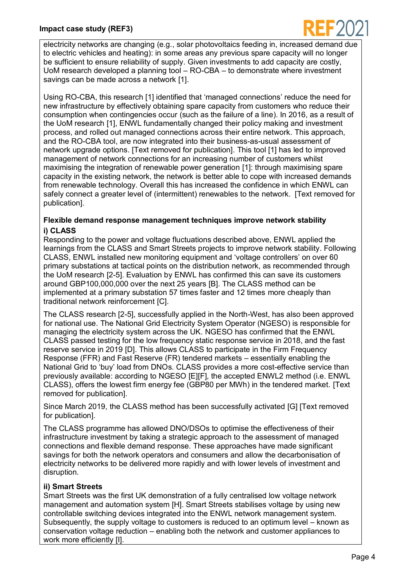

electricity networks are changing (e.g., solar photovoltaics feeding in, increased demand due to electric vehicles and heating): in some areas any previous spare capacity will no longer be sufficient to ensure reliability of supply. Given investments to add capacity are costly, UoM research developed a planning tool – RO-CBA – to demonstrate where investment savings can be made across a network [\[1\].](#page-1-0)

Using RO-CBA, this research [\[1\]](#page-1-0) identified that 'managed connections' reduce the need for new infrastructure by effectively obtaining spare capacity from customers who reduce their consumption when contingencies occur (such as the failure of a line). In 2016, as a result of the UoM research [\[1\],](#page-1-0) ENWL fundamentally changed their policy making and investment process, and rolled out managed connections across their entire network. This approach, and the RO-CBA tool, are now integrated into their business-as-usual assessment of network upgrade options. [Text removed for publication]. This tool [1] has led to improved management of network connections for an increasing number of customers whilst maximising the integration of renewable power generation [\[1\]:](#page-1-0) through maximising spare capacity in the existing network, the network is better able to cope with increased demands from renewable technology. Overall this has increased the confidence in which ENWL can safely connect a greater level of (intermittent) renewables to the network. [Text removed for publication].

## **Flexible demand response management techniques improve network stability i) CLASS**

Responding to the power and voltage fluctuations described above, ENWL applied the learnings from the CLASS and Smart Streets projects to improve network stability. Following CLASS, ENWL installed new monitoring equipment and 'voltage controllers' on over 60 primary substations at tactical points on the distribution network, as recommended through the UoM research [2-5]. Evaluation by ENWL has confirmed this can save its customers around GBP100,000,000 over the next 25 years [\[B\].](#page-4-0) The CLASS method can be implemented at a primary substation 57 times faster and 12 times more cheaply than traditional network reinforcement [\[C\].](#page-4-1)

The CLASS research [2-5], successfully applied in the North-West, has also been approved for national use. The National Grid Electricity System Operator (NGESO) is responsible for managing the electricity system across the UK. NGESO has confirmed that the ENWL CLASS passed testing for the low frequency static response service in 2018, and the fast reserve service in 2019 [\[D\].](#page-4-2) This allows CLASS to participate in the Firm Frequency Response (FFR) and Fast Reserve (FR) tendered markets – essentially enabling the National Grid to 'buy' load from DNOs. CLASS provides a more cost-effective service than previously available: according to NGESO [\[E\]\[F\],](#page-4-3) the accepted ENWL2 method (i.e. ENWL CLASS), offers the lowest firm energy fee (GBP80 per MWh) in the tendered market. [Text removed for publication].

Since March 2019, the CLASS method has been successfully activated [G] [Text removed for publication].

The CLASS programme has allowed DNO/DSOs to optimise the effectiveness of their infrastructure investment by taking a strategic approach to the assessment of managed connections and flexible demand response. These approaches have made significant savings for both the network operators and consumers and allow the decarbonisation of electricity networks to be delivered more rapidly and with lower levels of investment and disruption.

# **ii) Smart Streets**

Smart Streets was the first UK demonstration of a fully centralised low voltage network management and automation system [\[H\].](#page-4-4) Smart Streets stabilises voltage by using new controllable switching devices integrated into the ENWL network management system. Subsequently, the supply voltage to customers is reduced to an optimum level – known as conservation voltage reduction – enabling both the network and customer appliances to work more efficiently [\[I\].](#page-4-5)